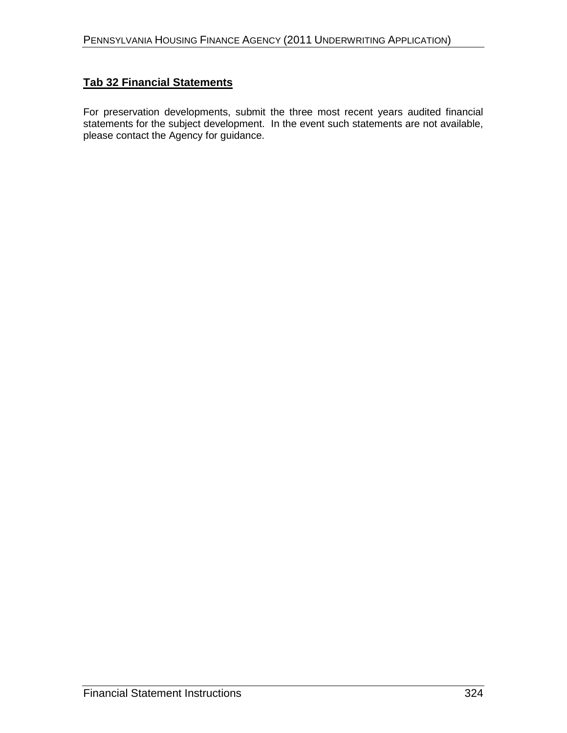### **Tab 32 Financial Statements**

For preservation developments, submit the three most recent years audited financial statements for the subject development. In the event such statements are not available, please contact the Agency for guidance.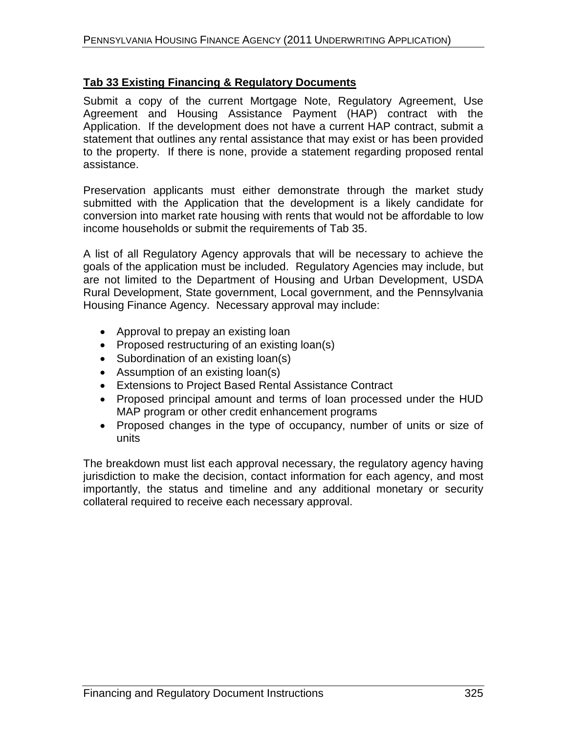## **Tab 33 Existing Financing & Regulatory Documents**

Submit a copy of the current Mortgage Note, Regulatory Agreement, Use Agreement and Housing Assistance Payment (HAP) contract with the Application. If the development does not have a current HAP contract, submit a statement that outlines any rental assistance that may exist or has been provided to the property. If there is none, provide a statement regarding proposed rental assistance.

Preservation applicants must either demonstrate through the market study submitted with the Application that the development is a likely candidate for conversion into market rate housing with rents that would not be affordable to low income households or submit the requirements of Tab 35.

A list of all Regulatory Agency approvals that will be necessary to achieve the goals of the application must be included. Regulatory Agencies may include, but are not limited to the Department of Housing and Urban Development, USDA Rural Development, State government, Local government, and the Pennsylvania Housing Finance Agency. Necessary approval may include:

- Approval to prepay an existing loan
- Proposed restructuring of an existing loan(s)
- Subordination of an existing loan(s)
- Assumption of an existing loan(s)
- Extensions to Project Based Rental Assistance Contract
- Proposed principal amount and terms of loan processed under the HUD MAP program or other credit enhancement programs
- Proposed changes in the type of occupancy, number of units or size of units

The breakdown must list each approval necessary, the regulatory agency having jurisdiction to make the decision, contact information for each agency, and most importantly, the status and timeline and any additional monetary or security collateral required to receive each necessary approval.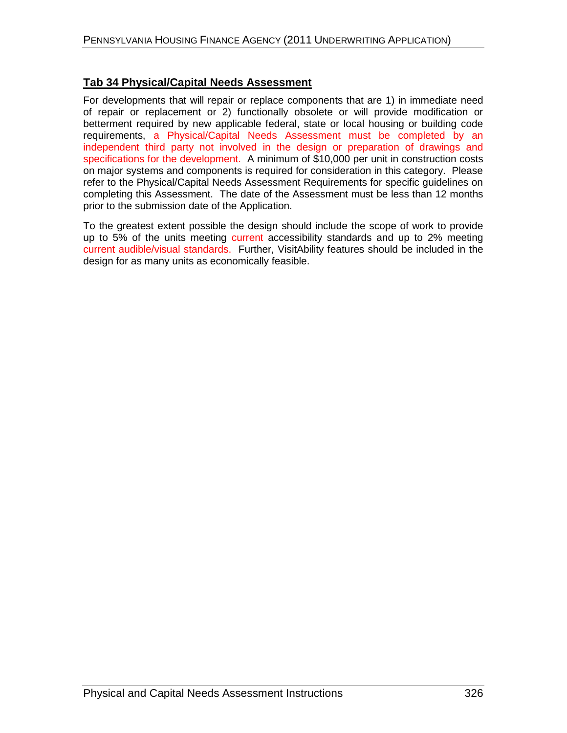#### **Tab 34 Physical/Capital Needs Assessment**

For developments that will repair or replace components that are 1) in immediate need of repair or replacement or 2) functionally obsolete or will provide modification or betterment required by new applicable federal, state or local housing or building code requirements, a Physical/Capital Needs Assessment must be completed by an independent third party not involved in the design or preparation of drawings and specifications for the development. A minimum of \$10,000 per unit in construction costs on major systems and components is required for consideration in this category. Please refer to the Physical/Capital Needs Assessment Requirements for specific guidelines on completing this Assessment. The date of the Assessment must be less than 12 months prior to the submission date of the Application.

To the greatest extent possible the design should include the scope of work to provide up to 5% of the units meeting current accessibility standards and up to 2% meeting current audible/visual standards. Further, VisitAbility features should be included in the design for as many units as economically feasible.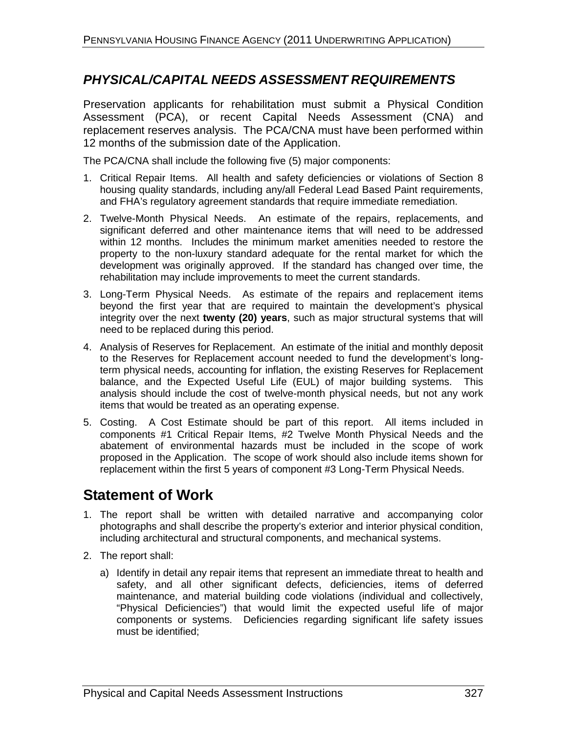# *PHYSICAL/CAPITAL NEEDS ASSESSMENT REQUIREMENTS*

Preservation applicants for rehabilitation must submit a Physical Condition Assessment (PCA), or recent Capital Needs Assessment (CNA) and replacement reserves analysis. The PCA/CNA must have been performed within 12 months of the submission date of the Application.

The PCA/CNA shall include the following five (5) major components:

- 1. Critical Repair Items. All health and safety deficiencies or violations of Section 8 housing quality standards, including any/all Federal Lead Based Paint requirements, and FHA's regulatory agreement standards that require immediate remediation.
- 2. Twelve-Month Physical Needs. An estimate of the repairs, replacements, and significant deferred and other maintenance items that will need to be addressed within 12 months. Includes the minimum market amenities needed to restore the property to the non-luxury standard adequate for the rental market for which the development was originally approved. If the standard has changed over time, the rehabilitation may include improvements to meet the current standards.
- 3. Long-Term Physical Needs. As estimate of the repairs and replacement items beyond the first year that are required to maintain the development's physical integrity over the next **twenty (20) years**, such as major structural systems that will need to be replaced during this period.
- 4. Analysis of Reserves for Replacement. An estimate of the initial and monthly deposit to the Reserves for Replacement account needed to fund the development's longterm physical needs, accounting for inflation, the existing Reserves for Replacement balance, and the Expected Useful Life (EUL) of major building systems. This analysis should include the cost of twelve-month physical needs, but not any work items that would be treated as an operating expense.
- 5. Costing. A Cost Estimate should be part of this report. All items included in components #1 Critical Repair Items, #2 Twelve Month Physical Needs and the abatement of environmental hazards must be included in the scope of work proposed in the Application. The scope of work should also include items shown for replacement within the first 5 years of component #3 Long-Term Physical Needs.

# **Statement of Work**

- 1. The report shall be written with detailed narrative and accompanying color photographs and shall describe the property's exterior and interior physical condition, including architectural and structural components, and mechanical systems.
- 2. The report shall:
	- a) Identify in detail any repair items that represent an immediate threat to health and safety, and all other significant defects, deficiencies, items of deferred maintenance, and material building code violations (individual and collectively, "Physical Deficiencies") that would limit the expected useful life of major components or systems. Deficiencies regarding significant life safety issues must be identified;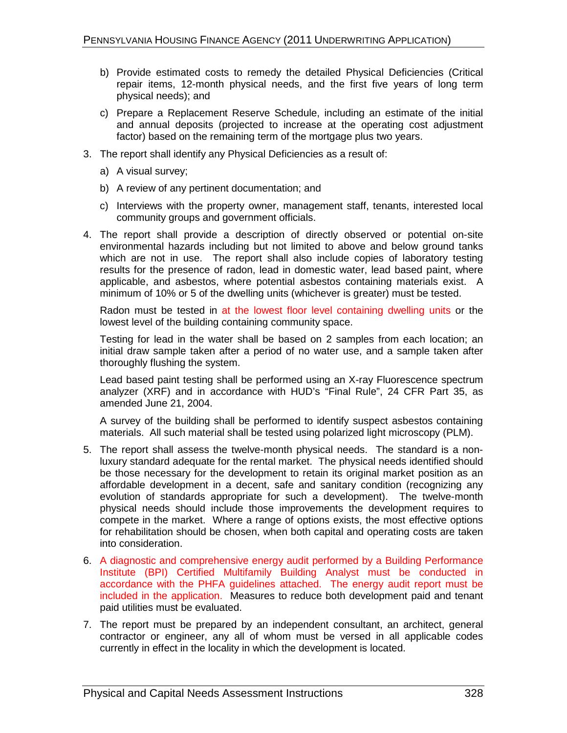- b) Provide estimated costs to remedy the detailed Physical Deficiencies (Critical repair items, 12-month physical needs, and the first five years of long term physical needs); and
- c) Prepare a Replacement Reserve Schedule, including an estimate of the initial and annual deposits (projected to increase at the operating cost adjustment factor) based on the remaining term of the mortgage plus two years.
- 3. The report shall identify any Physical Deficiencies as a result of:
	- a) A visual survey;
	- b) A review of any pertinent documentation; and
	- c) Interviews with the property owner, management staff, tenants, interested local community groups and government officials.
- 4. The report shall provide a description of directly observed or potential on-site environmental hazards including but not limited to above and below ground tanks which are not in use. The report shall also include copies of laboratory testing results for the presence of radon, lead in domestic water, lead based paint, where applicable, and asbestos, where potential asbestos containing materials exist. A minimum of 10% or 5 of the dwelling units (whichever is greater) must be tested.

Radon must be tested in at the lowest floor level containing dwelling units or the lowest level of the building containing community space.

Testing for lead in the water shall be based on 2 samples from each location; an initial draw sample taken after a period of no water use, and a sample taken after thoroughly flushing the system.

Lead based paint testing shall be performed using an X-ray Fluorescence spectrum analyzer (XRF) and in accordance with HUD's "Final Rule", 24 CFR Part 35, as amended June 21, 2004.

A survey of the building shall be performed to identify suspect asbestos containing materials. All such material shall be tested using polarized light microscopy (PLM).

- 5. The report shall assess the twelve-month physical needs. The standard is a nonluxury standard adequate for the rental market. The physical needs identified should be those necessary for the development to retain its original market position as an affordable development in a decent, safe and sanitary condition (recognizing any evolution of standards appropriate for such a development). The twelve-month physical needs should include those improvements the development requires to compete in the market. Where a range of options exists, the most effective options for rehabilitation should be chosen, when both capital and operating costs are taken into consideration.
- 6. A diagnostic and comprehensive energy audit performed by a Building Performance Institute (BPI) Certified Multifamily Building Analyst must be conducted in accordance with the PHFA guidelines attached. The energy audit report must be included in the application. Measures to reduce both development paid and tenant paid utilities must be evaluated.
- 7. The report must be prepared by an independent consultant, an architect, general contractor or engineer, any all of whom must be versed in all applicable codes currently in effect in the locality in which the development is located.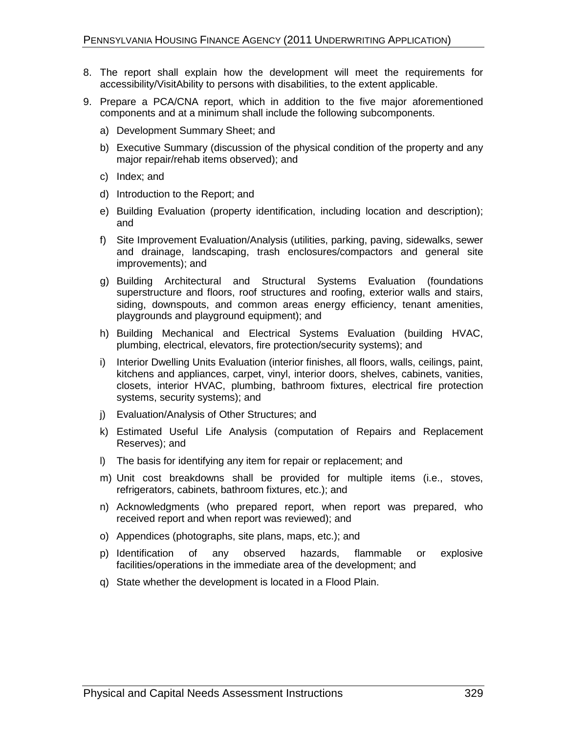- 8. The report shall explain how the development will meet the requirements for accessibility/VisitAbility to persons with disabilities, to the extent applicable.
- 9. Prepare a PCA/CNA report, which in addition to the five major aforementioned components and at a minimum shall include the following subcomponents.
	- a) Development Summary Sheet; and
	- b) Executive Summary (discussion of the physical condition of the property and any major repair/rehab items observed); and
	- c) Index; and
	- d) Introduction to the Report; and
	- e) Building Evaluation (property identification, including location and description); and
	- f) Site Improvement Evaluation/Analysis (utilities, parking, paving, sidewalks, sewer and drainage, landscaping, trash enclosures/compactors and general site improvements); and
	- g) Building Architectural and Structural Systems Evaluation (foundations superstructure and floors, roof structures and roofing, exterior walls and stairs, siding, downspouts, and common areas energy efficiency, tenant amenities, playgrounds and playground equipment); and
	- h) Building Mechanical and Electrical Systems Evaluation (building HVAC, plumbing, electrical, elevators, fire protection/security systems); and
	- i) Interior Dwelling Units Evaluation (interior finishes, all floors, walls, ceilings, paint, kitchens and appliances, carpet, vinyl, interior doors, shelves, cabinets, vanities, closets, interior HVAC, plumbing, bathroom fixtures, electrical fire protection systems, security systems); and
	- j) Evaluation/Analysis of Other Structures; and
	- k) Estimated Useful Life Analysis (computation of Repairs and Replacement Reserves); and
	- l) The basis for identifying any item for repair or replacement; and
	- m) Unit cost breakdowns shall be provided for multiple items (i.e., stoves, refrigerators, cabinets, bathroom fixtures, etc.); and
	- n) Acknowledgments (who prepared report, when report was prepared, who received report and when report was reviewed); and
	- o) Appendices (photographs, site plans, maps, etc.); and
	- p) Identification of any observed hazards, flammable or explosive facilities/operations in the immediate area of the development; and
	- q) State whether the development is located in a Flood Plain.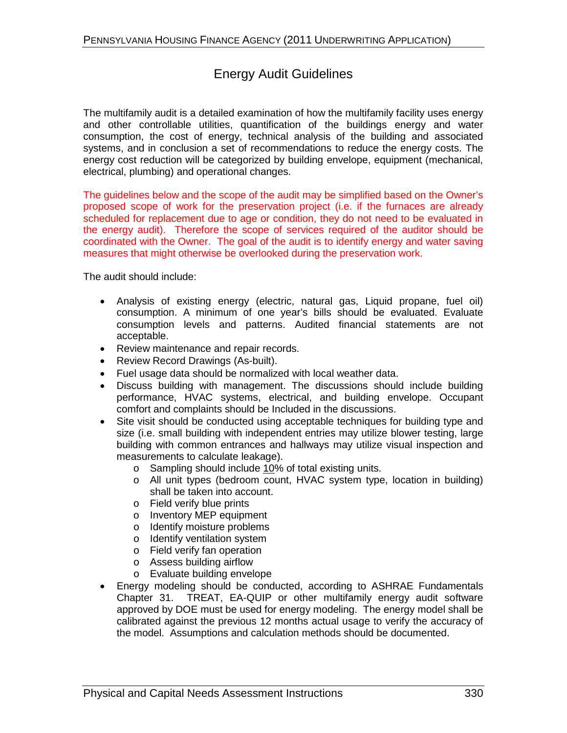## Energy Audit Guidelines

The multifamily audit is a detailed examination of how the multifamily facility uses energy and other controllable utilities, quantification of the buildings energy and water consumption, the cost of energy, technical analysis of the building and associated systems, and in conclusion a set of recommendations to reduce the energy costs. The energy cost reduction will be categorized by building envelope, equipment (mechanical, electrical, plumbing) and operational changes.

The guidelines below and the scope of the audit may be simplified based on the Owner's proposed scope of work for the preservation project (i.e. if the furnaces are already scheduled for replacement due to age or condition, they do not need to be evaluated in the energy audit). Therefore the scope of services required of the auditor should be coordinated with the Owner. The goal of the audit is to identify energy and water saving measures that might otherwise be overlooked during the preservation work.

The audit should include:

- Analysis of existing energy (electric, natural gas, Liquid propane, fuel oil) consumption. A minimum of one year's bills should be evaluated. Evaluate consumption levels and patterns. Audited financial statements are not acceptable.
- Review maintenance and repair records.
- Review Record Drawings (As-built).
- Fuel usage data should be normalized with local weather data.
- Discuss building with management. The discussions should include building performance, HVAC systems, electrical, and building envelope. Occupant comfort and complaints should be Included in the discussions.
- Site visit should be conducted using acceptable techniques for building type and size (i.e. small building with independent entries may utilize blower testing, large building with common entrances and hallways may utilize visual inspection and measurements to calculate leakage).
	- o Sampling should include 10% of total existing units.
	- o All unit types (bedroom count, HVAC system type, location in building) shall be taken into account.
	- o Field verify blue prints
	- o Inventory MEP equipment
	- o Identify moisture problems
	- o Identify ventilation system
	- o Field verify fan operation
	- o Assess building airflow
	- o Evaluate building envelope
- Energy modeling should be conducted, according to ASHRAE Fundamentals Chapter 31. TREAT, EA-QUIP or other multifamily energy audit software approved by DOE must be used for energy modeling. The energy model shall be calibrated against the previous 12 months actual usage to verify the accuracy of the model. Assumptions and calculation methods should be documented.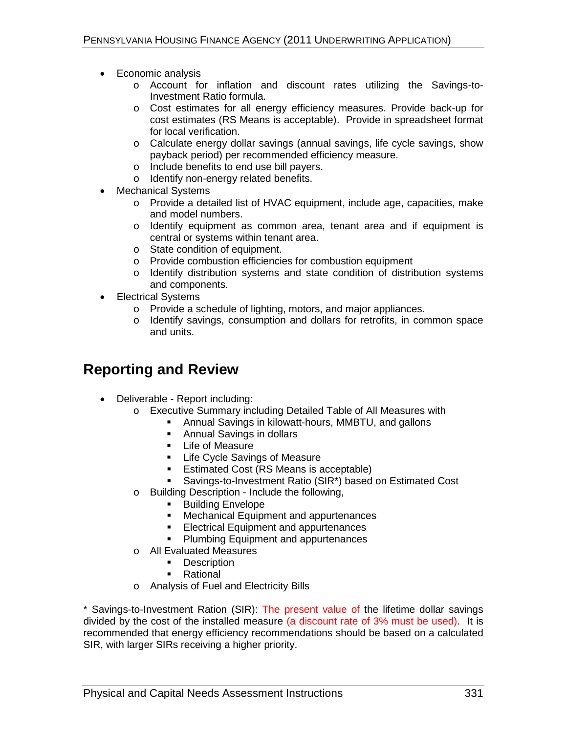- Economic analysis
	- o Account for inflation and discount rates utilizing the Savings-to-Investment Ratio formula.
	- o Cost estimates for all energy efficiency measures. Provide back-up for cost estimates (RS Means is acceptable). Provide in spreadsheet format for local verification.
	- o Calculate energy dollar savings (annual savings, life cycle savings, show payback period) per recommended efficiency measure.
	- o Include benefits to end use bill payers.
	- o Identify non-energy related benefits.
- Mechanical Systems
	- o Provide a detailed list of HVAC equipment, include age, capacities, make and model numbers.
	- o Identify equipment as common area, tenant area and if equipment is central or systems within tenant area.
	- o State condition of equipment.
	- o Provide combustion efficiencies for combustion equipment
	- o Identify distribution systems and state condition of distribution systems and components.
- Electrical Systems
	- o Provide a schedule of lighting, motors, and major appliances.
	- o Identify savings, consumption and dollars for retrofits, in common space and units.

# **Reporting and Review**

- Deliverable Report including:
	- o Executive Summary including Detailed Table of All Measures with
		- Annual Savings in kilowatt-hours, MMBTU, and gallons
			- **Annual Savings in dollars**
			- **-** Life of Measure
			- **EXEC** Life Cycle Savings of Measure
			- **Estimated Cost (RS Means is acceptable)**
			- Savings-to-Investment Ratio (SIR\*) based on Estimated Cost
	- o Building Description Include the following,
		- **Building Envelope**
		- **Mechanical Equipment and appurtenances**
		- **Electrical Equipment and appurtenances**
		- **Plumbing Equipment and appurtenances**
	- o All Evaluated Measures
		- **Description**
		- **Rational**
	- o Analysis of Fuel and Electricity Bills

\* Savings-to-Investment Ration (SIR): The present value of the lifetime dollar savings divided by the cost of the installed measure (a discount rate of 3% must be used). It is recommended that energy efficiency recommendations should be based on a calculated SIR, with larger SIRs receiving a higher priority.